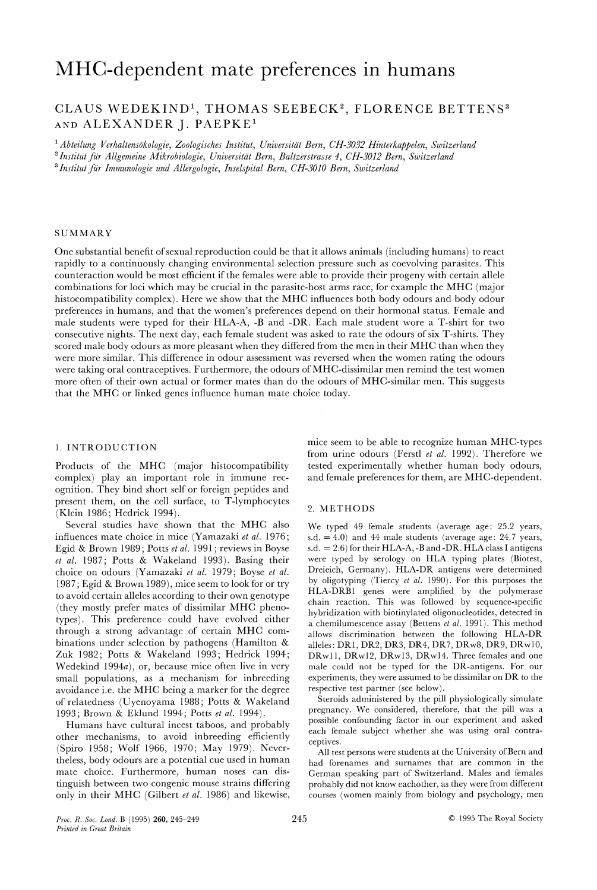# MHC-dependent mate preferences in humans

## CLAUS WEDEKIND<sup>1</sup>, THOMAS SEEBECK<sup>2</sup>, FLORENCE BETTENS<sup>3</sup> AND ALEXANDER J. PAEPKE1

<sup>1</sup> Abteilung Verhaltensökologie, Zoologisches Institut, Universität Bern, CH-3032 Hinterkappelen, Switzerland <sup>2</sup> Institut für Allgemeine Mikrobiologie, Universität Bern, Baltzerstrasse 4, CH-3012 Bern, Switzerland <sup>3</sup> Institut für Immunologie und Allergologie, Inselspital Bern, CH-3010 Bern, Switzerland

### **SUMMARY**

One substantial benefit of sexual reproduction could be that it allows animals (including humans) to react rapidly to a continuously changing environmental selection pressure such as coevolving parasites. This counteraction would be most efficient if the females were able to provide their progeny with certain allele combinations for loci which may be crucial in the parasite-host arms race, for example the MHC (major histocompatibility complex). Here we show that the MHC influences both body odours and body odour preferences in humans, and that the women's preferences depend on their hormonal status. Female and male students were typed for their HLA-A, -B and -DR. Each male student wore a T-shirt for two consecutive nights. The next day, each female student was asked to rate the odours of six T-shirts. They scored male body odours as more pleasant when they differed from the men in their MHC than when they were more similar. This difference in odour assessment was reversed when the women rating the odours were taking oral contraceptives. Furthermore, the odours of MHC-dissimilar men remind the test women more often of their own actual or former mates than do the odours of MHC-similar men. This suggests that the MHC or linked genes influence human mate choice today.

ognition. They bind short self or foreign peptides and present them, on the cell surface, to T-lymphocytes present them, on the centralities, to 1 symphocytes 2. METHODS (Klein 1986; Hedrick 1994).

Several studies have shown that the MHC also We typed 49 female students (average age: 25.2 years, influences mate choice in mice (Yamazaki *et al.* 1976; s.d. = 4.0) and 44 male students (average age: 24.7 years, Egid & Brown 1989; Potts et al. 1991; reviews in Boyse s.d. = 2.6) for their HLA-A, -B and -DR. HLA class I antigens et al. 1987: Potts & Wakeland 1993). Basing their were typed by serology on HLA typing plates (Biotest, et al. 1987; Potts & Wakeland 1993). Basing their were typed by serology on HLA typing plates (Biotest, choice on odours (Yamazaki et al. 1979; Boyse et al. Dreieich, Germany). HLA-DR antigens were determined choice on odours (Yamazaki *et al.* 1979; Boyse *et al.* Dreieich, Germany). HLA-DR antigens were determined 1987: Egid & Brown 1989) mice seem to look for or try by oligotyping (Tiercy *et al.* 1990). For this purposes t 1987; Egid & Brown 1989), mice seem to look for or try by oligotyping (Tiercy et al. 1990). For this purposes the  $HLA-DRB1$  genes were amplified by the polymerase to avoid certain alleles according to their own genotype<br>(dependence of distinctly MIC share and preaction. This was followed by sequence-specific (they mostly prefer mates of dissimilar MHC phenotypes). This preference could have evolved either  $\frac{1}{2}$  chemilumescence assay (Bettens et al. 1991). This method through a strong advantage of certain MHC com-<br>allows discrimination between the following HI.A-DR through a strong advantage of certain MHC com-<br>binations under selection by pathogens (Hamilton & alleles: DR1, DR2, DR3, DR4, DR7, DRw8, DR9, DRw10, Zuk 1982; Potts & Wakeland 1993; Hedrick 1994; DRw11, DRw12, DRw13, DRw14. Three females and one Wedekind 1994a), or, because mice often live in very male could not be typed for the DR-antigens. For our small populations, as a mechanism for inbreeding experiments, they were assumed to be dissimilar on DR to the avoidance i.e. the MHC being a marker for the degree respective test partner (see below). avoidance i.e. the MHC being a marker for the degree respective test partner (see below).<br>of relatedness (Hyenovama 1988: Potts & Wakeland Steroids administered by the pill physiologically simulate of relatedness (Uyenoyama 1988; Potts & Wakeland Steroids administered by the pill physiologically simulate<br>1992: Province & Eldwid 1994: Potts at al. 1994) pregnancy. We considered, therefore, that the pill was a

other mechanisms, to avoid inbreeding efficiently<br>
(Spiro 1958; Wolf 1966, 1970; May 1979). Never- All test persons were students at the University of Bern and

1. INTRODUCTION mice seem to be able to recognize human MHC-types 1. INTRODUCTION from urine odours (Ferstl *et al.* 1992). Therefore we Products of the MHC (major histocompatibility tested experimentally whether human body odours, complex) play an important role in immune rec- and female preferences for them, are MHC-dependent. and female preferences for them, are MHC-dependent.

s.d.  $= 4.0$ ) and 44 male students (average age: 24.7 years, hybridization with biotinylated oligonucleotides, detected in alleles: DR1, DR2, DR3, DR4, DR7, DRw8, DR9, DRw10,

1993; Brown & Eklund 1994; Potts et al. 1994). pregnancy. We considered, therefore, that the pill was a<br>Humana have quittingl ingest tabogs and probably possible confounding factor in our experiment and asked Humans have cultural incest taboos, and probably possible confounding factor in our experiment and asked<br>have marked in a small inhered in a finite of the subject whether she was using oral contra-

theless, body odours are a potential cue used in human<br>mean had forenames and surnames that are common in the<br>mate choice. Furthermore, human noses can dis-<br>German speaking part of Switzerland. Males and females mate choice. Furthermore, human noses can dis-<br>
tinguish between two congenic mouse strains differing brobably did not know eachother, as they were from different probably did not know eachother, as they were from different only in their MHC (Gilbert et al. 1986) and likewise, courses (women mainly from biology and psychology, men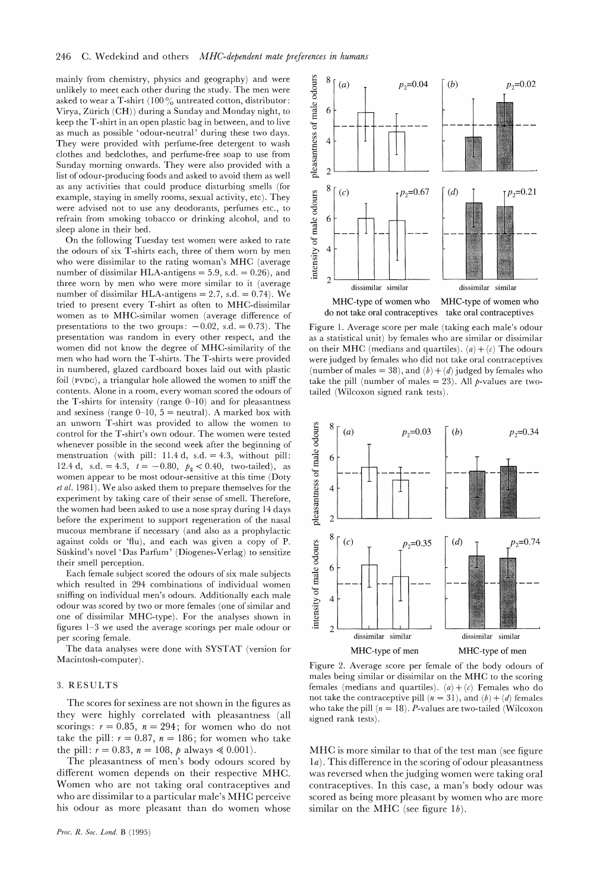mainly from chemistry, physics and geography) and were unlikely to meet each other during the study. The men were asked to wear a T-shirt (100  $\%$ ) untreated cotton, distributor: Virya, Zurich (CH)) during a Sunday and Monday night, to keep the T-shirt in an open plastic bag in between, and to live as much as possible 'odour-neutral' during these two days. They were provided with perfume-free detergent to wash clothes and bedclothes, and perfume-free soap to use from Sunday morning onwards. They were also provided with a list of odour-producing foods and asked to avoid them as well as any activities that could produce disturbing smells (for example, staying in smelly rooms, sexual activity, etc). They were advised not to use any deodorants, perfumes etc., to refrain from smoking tobacco or drinking alcohol, and to sleep alone in their bed.

On the following Tuesday test women were asked to rate the odours of six T-shirts each, three of them worn by men who were dissimilar to the rating woman's MHC (average number of dissimilar HLA-antigens  $= 5.9$ , s.d.  $= 0.26$ ), and three worn by men who were more similar to it (average number of dissimilar HLA-antigens = 2.7, s.d. =  $0.74$ ). We tried to present every T-shirt as often to MHC-dissimilar women as to MHC-similar women (average difference of presentations to the two groups:  $-0.02$ , s.d.  $= 0.73$ ). The presentation was random in every other respect, and the women did not know the degree of MHC-similarity of the men who had worn the T-shirts. The T-shirts were provided in numbered, glazed cardboard boxes laid out with plastic foil  $(\text{pvpc})$ , a triangular hole allowed the women to sniff the contents. Alone in a room, every woman scored the odours of the T-shirts for intensity (range  $0-10$ ) and for pleasantness and sexiness (range  $0-10$ ,  $5 =$  neutral). A marked box with an unworn T-shirt was provided to allow the women to control for the T-shirt's own odour. The women were tested whenever possible in the second week after the beginning of menstruation (with pill: 11.4 d, s.d. = 4.3, without pill: 12.4 d, s.d. = 4.3,  $t = -0.80$ ,  $p_2 < 0.40$ , two-tailed), as women appear to be most odour-sensitive at this time (Doty *et* al. 1981). We also asked them to prepare themselves for the experiment by taking care of their sense of smell. Therefore, the women had been asked to use a nose spray during 14 days before the experiment to support regeneration of the nasal mucous membrane if necessary (and also as a prophylactic against colds or 'flu), and each was given a copy of P. Suskind's novel 'Das Parfum ' (Diogenes-Verlag) to sensitize their smell perception.

Each female subject scored the odours of six male subjects which resulted in 294 combinations of individual women sniffing on individual men's odours. Additionally each male odour was scored by two or more females (one of similar and one of dissimilar MHC-type). For the analyses shown in figures 1-3 we used the average scorings per male odour or per scoring female.

The data analyses were done with SYSTAT (version for Macintosh-computer) .

## 3. RESULTS

The scores for sexiness are not shown in the figures as they were highly correlated with pleasantness (all scorings:  $r = 0.85$ ,  $n = 294$ ; for women who do not take the pill:  $r = 0.87$ ,  $n = 186$ ; for women who take the pill:  $r = 0.83$ ,  $n = 108$ ,  $p$  always  $\le 0.001$ ).

The pleasantness of men's body odours scored by different women depends on their respective MHC. Women who are not taking oral contraceptives and who are dissimilar to a particular male's MHC perceive his odour as more pleasant than do women whose



Figure 1. Average score per male (taking each male's odour as a statistical unit) by females who are similar or dissimilar on their MHC (medians and quartiles).  $(a) + (c)$  The odours were judged by females who did not take oral contraceptives (number of males = 38), and  $(b) + (d)$  judged by females who

take the pill (number of males  $= 23$ ). All *p*-values are two-

tailed (Wilcoxon signed rank tests).



Figure 2. Average score per female of the body odours of males being similar or dissimilar on the MHC to the scoring females (medians and quartiles).  $(a) + (c)$  Females who do not take the contraceptive pill  $(n = 31)$ , and  $(b) + (d)$  females who take the pill  $(n = 18)$ . *P*-values are two-tailed (Wilcoxon signed rank tests).

MHC is more similar to that of the test man (see figure 1a). This difference in the scoring of odour pleasantness was reversed when the judging women were taking oral contraceptives. In this case, a man's body odour was scored as being more pleasant by women who are more similar on the MHC (see figure  $1b$ ).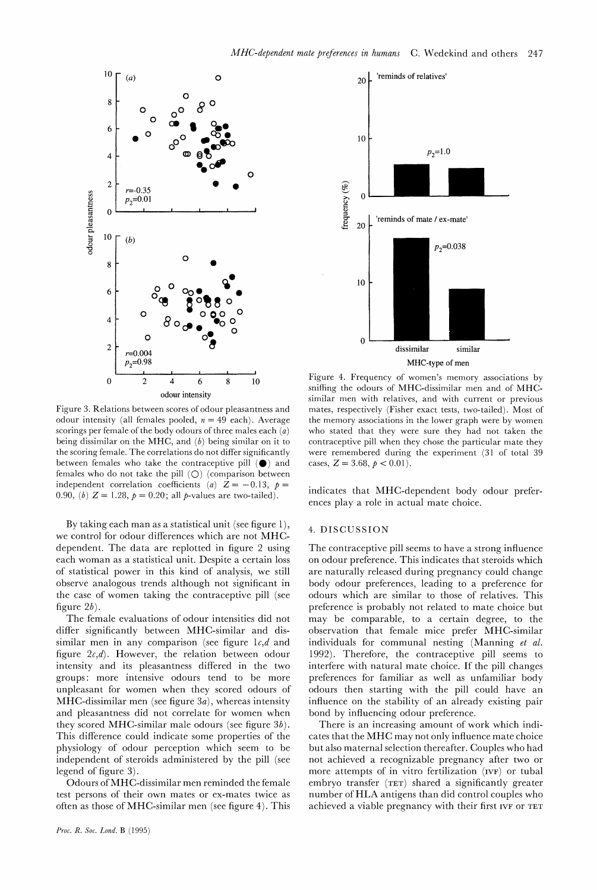

Figure 3. Relations between scores of odour pleasantness and odour intensity (all females pooled,  $n = 49$  each). Average scorings per female of the body odours of three males each  $\overline{a}$ ) being dissimilar on the MHC, and  $(b)$  being similar on it to the scoring female. The correlations do not differ significantly between females who take the contraceptive pill **(0)**and females who do not take the pill  $(O)$  (comparison between independent correlation coefficients (a)  $Z = -0.13$ ,  $p =$ 0.90, (b)  $Z = 1.28$ ,  $p = 0.20$ ; all p-values are two-tailed).

By taking each man as a statistical unit (see figure I), we control for odour differences which are not MHCdependent. The data are replotted in figure 2 using each woman as a statistical unit. Despite a certain loss of statistical power in this kind of analysis, we still observe analogous trends although not significant in the case of women taking the contraceptive pill (see figure  $2b$ ).

The female evaluations of odour intensities did not differ significantly between MHC-similar and dissimilar men in any comparison (see figure  $1c, d$  and figure  $2c,d$ ). However, the relation between odour intensity and its pleasantness differed in the two groups: more intensive odours tend to be more unpleasant for women when they scored odours of MHC-dissimilar men (see figure  $3a$ ), whereas intensity and pleasantness did not correlate for women when they scored MHC-similar male odours (see figure  $3b$ ). This difference could indicate some properties of the physiology of odour perception which seem to be independent of steroids administered by the pill (see legend of figure 3).

Odours of MHC-dissimilar men reminded the female test persons of their own mates or ex-mates twice as often as those of MHC-similar men (see figure 4). This



Figure 4. Frequency of women's memory associations by sniffing the odours of MHC-dissimilar men and of MHCsimilar men with relatives, and with current or previous mates, respectively (Fisher exact tests, two-tailed). Most of the memory associations in the lower graph were by women who stated that they were sure they had not taken the contraceptive pill when they chose the particular mate they were remembered during the experiment (31 of total 39 cases,  $Z = 3.68$ ,  $p < 0.01$ ).

indicates that MHC-dependent body odour preferences play a role in actual mate choice.

## 4. DISCUSSION

The contraceptive pill seems to have a strong influence on odour preference. This indicates that steroids which are naturally released during pregnancy could change body odour preferences, leading to a preference for odours which are similar to those of relatives. This preference is probably not related to mate choice but may be comparable, to a certain degree, to the observation that female mice prefer MHC-similar individuals for communal nesting (Manning *et al.*  1992). Therefore, the contraceptive pill seems to interfere with natural mate choice. If the pill changes preferences for familiar as well as unfamiliar body odours then starting with the pill could have an influence on the stability of an already existing pair bond by influencing odour preference.

There is an increasing amount of work which indicates that the MHC may not only influence mate choice but also maternal selection thereafter. Couples who had not achieved a recognizable pregnancy after two or more attempts of in vitro fertilization (IVF) or tuba1 embryo transfer (TET) shared a significantly greater number of HLA antigens than did control couples who achieved a viable pregnancy with their first IVF or TET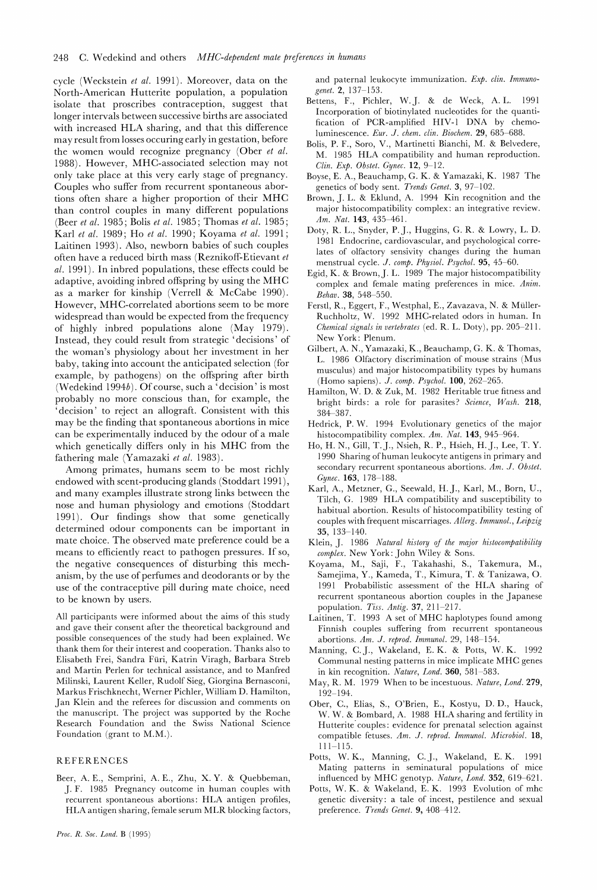cycle (M'eckstein *et al.* 1991). Moreover, data on the North-American Hutterite population, a population isolate that proscribes contraception, suggest that longer intervals between successive births are associated with increased HLA sharing, and that this difference may result from losses occuring early in gestation, before the women would recognize pregnancy (Ober *et al.*  1988). However, MHC-associated selection may not only take place at this very early stage of pregnancy. Couples who suffer from recurrent spontaneous abortions often share a higher proportion of their MHC than control couples in many different populations (Beer *et al.* 1985; Bolis *et al.* 1985; Thomas *et al.* 1985; Karl *et al.* 1989; Ho *et al.* 1990; Koyama *et al.* 1991; Laitinen 1993). Also, newborn babies of such couples often have a reduced birth mass (Reznikoff-Etievant *et al.* 1991). In inbred populations, these effects could be adaptive, avoiding inbred offspring by using the MHC as a marker for kinship (Verrell & McCabe 1990). However, MHC-correlated abortions seem to be more widespread than would be expected from the frequency of highly inbred populations alone (May 1979). Instead, they could result from strategic 'decisions' of the woman's physiology about her investment in her baby, taking into account the anticipated selection (for example, by pathogens) on the offspring after birth (Wedekind 1994b). Of course, such a 'decision' is most probably no more conscious than, for example, the 'decision' to reject an allograft. Consistent with this may be the finding that spontaneous abortions in mice can be experimentally induced by the odour of a male which genetically differs only in his MHC from the fathering male (Yamazaki *et al.* 1983).

Among primates, humans seem to be most richly endowed with scent-producing glands (Stoddart 1991), and many examples illustrate strong links between the nose and human physiology and emotions (Stoddart 1991). Our findings show that some genetically determined odour components can be important in mate choice. The observed mate preference could be a means to efficiently react to pathogen pressures. If so, the negative consequences of disturbing this mechanism, by the use of perfumes and deodorants or by the use of the contraceptive pill during mate choice, need to be known by users.

All participants were informed about the aims of this study and gave their consent after the theoretical background and possible consequences of the study had been explained. We thank them for their interest and cooperation. Thanks also to Elisabeth Frei, Sandra Fiiri, Katrin Viragh, Barbara Streb and Martin Perlen for technical assistance, and to Manfred Milinski, Laurent Keller, Rudolf Sieg, Giorgina Bernasconi, Markus Frischknecht, Werner Pichler, William D. Hamilton, Jan Klein and the referees for discussion and comments on the manuscript. The project was supported by the Roche Research Foundation and the Swiss National Science Foundation (grant to M.M.).

## **REFERENCES**

Beer, A. E., Semprini, A. E., Zhu, X. Y. & Quebbeman, J. F. 1985 Pregnancy outcome in human couples with recurrent spontaneous abortions: HLA antigen profiles, HLA antigen sharing, female serum MLR blocking factors, and paternal leukocyte immunization. *Exb. clin. Immunogenet.* **2,** 137-153.

- Bettens, F., Pichler, W. J. & de Weck, A. L. 1991 Incorporation of biotinylated nucleotides for the quantification of PCR-amplified HIV-1 DNA by chemoluminescence. *Eur.* .J. *chem. clin. Biochem.* **29,** 685-688.
- Bolis, P. F., Soro, V., Martinetti Bianchi, M. & Belvedere, M. 1985 HLA compatibility and human reproduction. *Clin. Exe. Obslel. Gynec.* **12,** 9-12.
- Boyse, E. A,, Beauchamp, G. K. & Yamazaki, K. 1987 The genetics of body sent. *Trends Genet.* **3,** 97-102.
- Brown, J. L. & Eklund, A. 1994 Kin recognition and the major histocompatibility complex: an integrative review. *Am. Nat.* **143**, **435-461**.
- Doty, R. L., Snyder, P. J., Huggins, G. R. & Lowry, L. D. 1981 Endocrine, cardiovascular, and psychological correlates of olfactory sensivity changes during the human menstrual cycle. *.I. comb. Physiol. Psychol.* **95,** 45-60.
- Egid, K. & Brown,J.L. 1989 The major histocompatibility complex and female mating preferences in mice. *Anim. Behav.* **38,** 548-550.
- Ferstl, R., Eggert, F., Westphal, E., Zavazava, N. & Miiller-Ruchholtz, W. 1992 MHC-related odors in human. In *Chemical signals in uerlebrales* (ed. R. I,. Doty), pp. 205-21 1. New York: Plenum.
- Gilbert, A. N., Yamazaki, K., Beauchamp, G. K. & Thomas, L. 1986 Olfactory discrimination of mouse strains (Mus musculus) and major histocompatibility types by humans (Homo sapiens). *J. comp. Psychol.* **100**, 262-265.
- Hamilton, W. D. & Zuk, M. 1982 Heritable true fitness and bright birds: a role for parasites? *Science, Wash.* **218,**  384-387.
- Hedrick, P. W. 1994 Evolutionary genetics of the major histocompatibility complex. *Am. Nal.* **143,** 945-964.
- Ho, H. N., Gill, T. J., Nsieh, R. P., Hsieh, H. J., Lee, T. Y. 1990 Sharing of human leukocyte antigens in primary and secondary recurrent spontaneous abortions. Am. J. Obstet. *Gynec.* **163,** 178-188.
- Karl, A., Metzner, G., Seewald, H. J., Karl, M., Born, U., Tilch, G. 1989 HLA compatibility and susceptibility to habitual abortion. Results of histocompatibility testing of couples with frequent miscarriages. *Allerg. Immunol., Leipzig*  **35,** 133-140.
- Klein, J. 1986 *Natural history of lhe major hislocompatibility cornelex.* New York: John Wiley & Sons.
- Koyama, M., Saji, F., Takahashi, S., Takemura, M., Samejima, Y., Kameda, T., Kimura, T. & Tanizawa, 0. 1991 Probabilistic assessment of the HLA sharing of recurrent spontaneous abortion couples in the Japanese population. *Tiss. Antig.* **37**, 211-217.
- Laitinen, T. 1993 A set of MHC haplotypes found among Finnish couples suffering from recurrent spontaneous abortions. *Am. .I. reprod. Immunol.* 29, 148-154.
- Manning, C.J., Wakeland, E. K. & Potts, W. K. 1992 Communal nesting patterns in mice implicate MHC genes in kin recognition. *Nature, Lond.* **360,** 581-583.
- May, R. M. 1979 When to be incestuous. *Nalure, Lond.* **279,**  192-194.
- Ober, C., Elias, S., O'Brien, E., Kostyu, D. D., Hauck, W. W. & Bombard, A. 1988 HLA sharing and fertility in Hutterite couples: evidence for prenatal selection against compatible fetuses. *Am.* J. *reprod. Immunol. Microbial.* **18,**   $111 - 115$ .
- Potts, W. K., Manning, C.J., Wakeland, E. K. 1991 Mating patterns in seminatural populations of mice influenced by MHC genotyp. Nature, Lond. 352, 619-621.
- Potts, W. K. & Wakeland, E. K. 1993 Evolution of mhc genetic diversity: a tale of incest, pestilence and sexual preference. *Trends Genel.* **9,** 408-412.